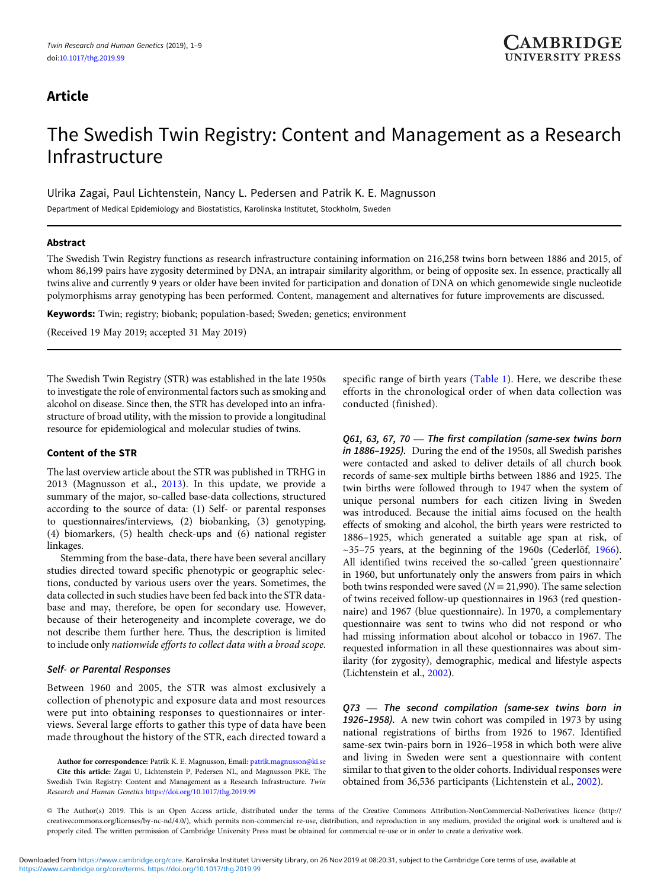# Article

# The Swedish Twin Registry: Content and Management as a Research Infrastructure

Ulrika Zagai, Paul Lichtenstein, Nancy L. Pedersen and Patrik K. E. Magnusson

Department of Medical Epidemiology and Biostatistics, Karolinska Institutet, Stockholm, Sweden

# Abstract

The Swedish Twin Registry functions as research infrastructure containing information on 216,258 twins born between 1886 and 2015, of whom 86,199 pairs have zygosity determined by DNA, an intrapair similarity algorithm, or being of opposite sex. In essence, practically all twins alive and currently 9 years or older have been invited for participation and donation of DNA on which genomewide single nucleotide polymorphisms array genotyping has been performed. Content, management and alternatives for future improvements are discussed.

Keywords: Twin; registry; biobank; population-based; Sweden; genetics; environment

(Received 19 May 2019; accepted 31 May 2019)

The Swedish Twin Registry (STR) was established in the late 1950s to investigate the role of environmental factors such as smoking and alcohol on disease. Since then, the STR has developed into an infrastructure of broad utility, with the mission to provide a longitudinal resource for epidemiological and molecular studies of twins.

# Content of the STR

The last overview article about the STR was published in TRHG in 2013 (Magnusson et al., [2013\)](#page-8-0). In this update, we provide a summary of the major, so-called base-data collections, structured according to the source of data: (1) Self- or parental responses to questionnaires/interviews, (2) biobanking, (3) genotyping, (4) biomarkers, (5) health check-ups and (6) national register linkages.

Stemming from the base-data, there have been several ancillary studies directed toward specific phenotypic or geographic selections, conducted by various users over the years. Sometimes, the data collected in such studies have been fed back into the STR database and may, therefore, be open for secondary use. However, because of their heterogeneity and incomplete coverage, we do not describe them further here. Thus, the description is limited to include only nationwide efforts to collect data with a broad scope.

# Self- or Parental Responses

Between 1960 and 2005, the STR was almost exclusively a collection of phenotypic and exposure data and most resources were put into obtaining responses to questionnaires or interviews. Several large efforts to gather this type of data have been made throughout the history of the STR, each directed toward a

Author for correspondence: Patrik K. E. Magnusson, Email: [patrik.magnusson@ki.se](mailto:patrik.magnusson@ki.se) Cite this article: Zagai U, Lichtenstein P, Pedersen NL, and Magnusson PKE. The Swedish Twin Registry: Content and Management as a Research Infrastructure. Twin Research and Human Genetics <https://doi.org/10.1017/thg.2019.99>

specific range of birth years ([Table 1\)](#page-1-0). Here, we describe these efforts in the chronological order of when data collection was conducted (finished).

Q61, 63, 67, 70 — The first compilation (same-sex twins born in 1886–1925). During the end of the 1950s, all Swedish parishes were contacted and asked to deliver details of all church book records of same-sex multiple births between 1886 and 1925. The twin births were followed through to 1947 when the system of unique personal numbers for each citizen living in Sweden was introduced. Because the initial aims focused on the health effects of smoking and alcohol, the birth years were restricted to 1886–1925, which generated a suitable age span at risk, of  $\sim$ 35–75 years, at the beginning of the 1960s (Cederlöf, [1966\)](#page-7-0). All identified twins received the so-called 'green questionnaire' in 1960, but unfortunately only the answers from pairs in which both twins responded were saved ( $N = 21,990$ ). The same selection of twins received follow-up questionnaires in 1963 (red questionnaire) and 1967 (blue questionnaire). In 1970, a complementary questionnaire was sent to twins who did not respond or who had missing information about alcohol or tobacco in 1967. The requested information in all these questionnaires was about similarity (for zygosity), demographic, medical and lifestyle aspects (Lichtenstein et al., [2002](#page-7-0)).

Q73 — The second compilation (same-sex twins born in 1926–1958). A new twin cohort was compiled in 1973 by using national registrations of births from 1926 to 1967. Identified same-sex twin-pairs born in 1926–1958 in which both were alive and living in Sweden were sent a questionnaire with content similar to that given to the older cohorts. Individual responses were obtained from 36,536 participants (Lichtenstein et al., [2002](#page-7-0)).

© The Author(s) 2019. This is an Open Access article, distributed under the terms of the Creative Commons Attribution-NonCommercial-NoDerivatives licence (http:// creativecommons.org/licenses/by-nc-nd/4.0/), which permits non-commercial re-use, distribution, and reproduction in any medium, provided the original work is unaltered and is properly cited. The written permission of Cambridge University Press must be obtained for commercial re-use or in order to create a derivative work.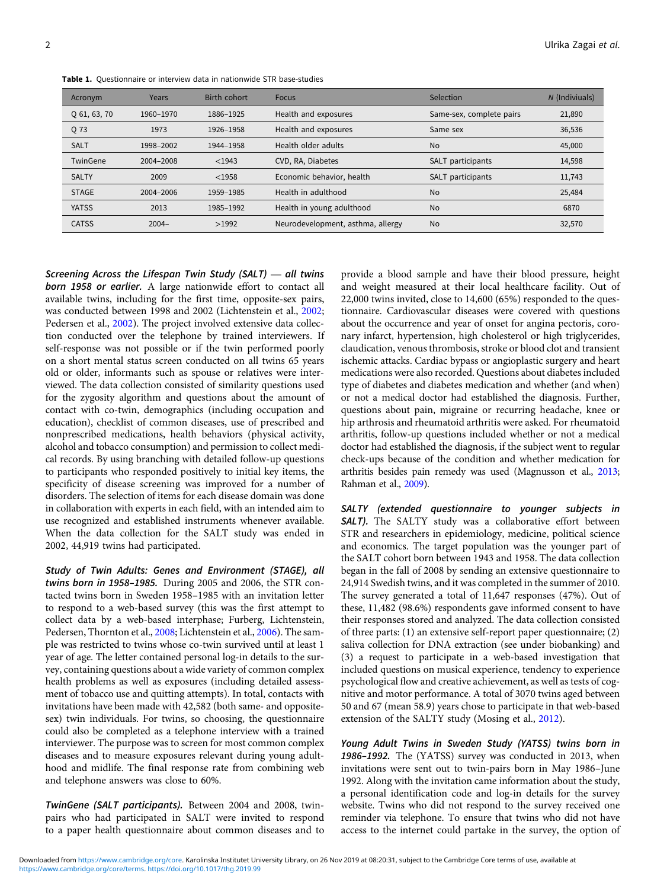| Acronym        | Years     | Birth cohort | <b>Focus</b>                      | <b>Selection</b>         | $N$ (Indiviuals) |
|----------------|-----------|--------------|-----------------------------------|--------------------------|------------------|
| $Q$ 61, 63, 70 | 1960-1970 | 1886-1925    | Health and exposures              | Same-sex, complete pairs | 21,890           |
| Q 73           | 1973      | 1926-1958    | Health and exposures              | Same sex                 | 36,536           |
| <b>SALT</b>    | 1998-2002 | 1944-1958    | Health older adults               | <b>No</b>                | 45,000           |
| TwinGene       | 2004-2008 | < 1943       | CVD, RA, Diabetes                 | SALT participants        | 14,598           |
| <b>SALTY</b>   | 2009      | $<$ 1958     | Economic behavior, health         | SALT participants        | 11,743           |
| <b>STAGE</b>   | 2004-2006 | 1959-1985    | Health in adulthood               | <b>No</b>                | 25,484           |
| <b>YATSS</b>   | 2013      | 1985-1992    | Health in young adulthood         | <b>No</b>                | 6870             |
| <b>CATSS</b>   | $2004 -$  | >1992        | Neurodevelopment, asthma, allergy | <b>No</b>                | 32,570           |

<span id="page-1-0"></span>Table 1. Questionnaire or interview data in nationwide STR base-studies

Screening Across the Lifespan Twin Study (SALT) — all twins born 1958 or earlier. A large nationwide effort to contact all available twins, including for the first time, opposite-sex pairs, was conducted between 1998 and 2002 (Lichtenstein et al., [2002](#page-7-0); Pedersen et al., [2002\)](#page-8-0). The project involved extensive data collection conducted over the telephone by trained interviewers. If self-response was not possible or if the twin performed poorly on a short mental status screen conducted on all twins 65 years old or older, informants such as spouse or relatives were interviewed. The data collection consisted of similarity questions used for the zygosity algorithm and questions about the amount of contact with co-twin, demographics (including occupation and education), checklist of common diseases, use of prescribed and nonprescribed medications, health behaviors (physical activity, alcohol and tobacco consumption) and permission to collect medical records. By using branching with detailed follow-up questions to participants who responded positively to initial key items, the specificity of disease screening was improved for a number of disorders. The selection of items for each disease domain was done in collaboration with experts in each field, with an intended aim to use recognized and established instruments whenever available. When the data collection for the SALT study was ended in 2002, 44,919 twins had participated.

Study of Twin Adults: Genes and Environment (STAGE), all twins born in 1958–1985. During 2005 and 2006, the STR contacted twins born in Sweden 1958–1985 with an invitation letter to respond to a web-based survey (this was the first attempt to collect data by a web-based interphase; Furberg, Lichtenstein, Pedersen, Thornton et al., [2008](#page-7-0); Lichtenstein et al., [2006](#page-8-0)). The sample was restricted to twins whose co-twin survived until at least 1 year of age. The letter contained personal log-in details to the survey, containing questions about a wide variety of common complex health problems as well as exposures (including detailed assessment of tobacco use and quitting attempts). In total, contacts with invitations have been made with 42,582 (both same- and oppositesex) twin individuals. For twins, so choosing, the questionnaire could also be completed as a telephone interview with a trained interviewer. The purpose was to screen for most common complex diseases and to measure exposures relevant during young adulthood and midlife. The final response rate from combining web and telephone answers was close to 60%.

TwinGene (SALT participants). Between 2004 and 2008, twinpairs who had participated in SALT were invited to respond to a paper health questionnaire about common diseases and to provide a blood sample and have their blood pressure, height and weight measured at their local healthcare facility. Out of 22,000 twins invited, close to 14,600 (65%) responded to the questionnaire. Cardiovascular diseases were covered with questions about the occurrence and year of onset for angina pectoris, coronary infarct, hypertension, high cholesterol or high triglycerides, claudication, venous thrombosis, stroke or blood clot and transient ischemic attacks. Cardiac bypass or angioplastic surgery and heart medications were also recorded. Questions about diabetes included type of diabetes and diabetes medication and whether (and when) or not a medical doctor had established the diagnosis. Further, questions about pain, migraine or recurring headache, knee or hip arthrosis and rheumatoid arthritis were asked. For rheumatoid arthritis, follow-up questions included whether or not a medical doctor had established the diagnosis, if the subject went to regular check-ups because of the condition and whether medication for arthritis besides pain remedy was used (Magnusson et al., [2013](#page-8-0); Rahman et al., [2009](#page-8-0)).

SALTY (extended questionnaire to younger subjects in SALT). The SALTY study was a collaborative effort between STR and researchers in epidemiology, medicine, political science and economics. The target population was the younger part of the SALT cohort born between 1943 and 1958. The data collection began in the fall of 2008 by sending an extensive questionnaire to 24,914 Swedish twins, and it was completed in the summer of 2010. The survey generated a total of 11,647 responses (47%). Out of these, 11,482 (98.6%) respondents gave informed consent to have their responses stored and analyzed. The data collection consisted of three parts: (1) an extensive self-report paper questionnaire; (2) saliva collection for DNA extraction (see under biobanking) and (3) a request to participate in a web-based investigation that included questions on musical experience, tendency to experience psychological flow and creative achievement, as well as tests of cognitive and motor performance. A total of 3070 twins aged between 50 and 67 (mean 58.9) years chose to participate in that web-based extension of the SALTY study (Mosing et al., [2012](#page-8-0)).

Young Adult Twins in Sweden Study (YATSS) twins born in 1986–1992. The (YATSS) survey was conducted in 2013, when invitations were sent out to twin-pairs born in May 1986–June 1992. Along with the invitation came information about the study, a personal identification code and log-in details for the survey website. Twins who did not respond to the survey received one reminder via telephone. To ensure that twins who did not have access to the internet could partake in the survey, the option of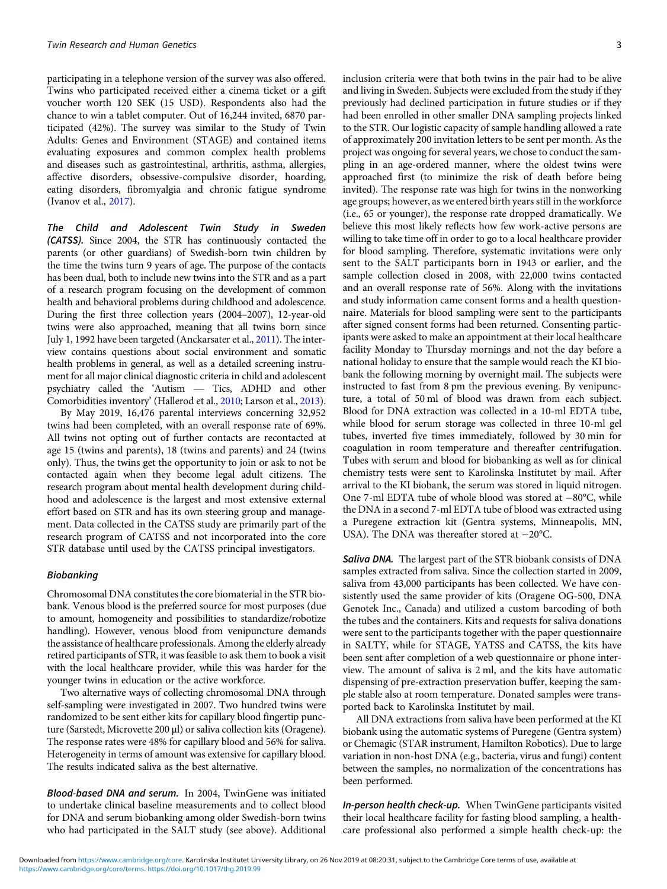participating in a telephone version of the survey was also offered. Twins who participated received either a cinema ticket or a gift voucher worth 120 SEK (15 USD). Respondents also had the chance to win a tablet computer. Out of 16,244 invited, 6870 participated (42%). The survey was similar to the Study of Twin Adults: Genes and Environment (STAGE) and contained items evaluating exposures and common complex health problems and diseases such as gastrointestinal, arthritis, asthma, allergies, affective disorders, obsessive-compulsive disorder, hoarding, eating disorders, fibromyalgia and chronic fatigue syndrome (Ivanov et al., [2017\)](#page-7-0).

The Child and Adolescent Twin Study in Sweden (CATSS). Since 2004, the STR has continuously contacted the parents (or other guardians) of Swedish-born twin children by the time the twins turn 9 years of age. The purpose of the contacts has been dual, both to include new twins into the STR and as a part of a research program focusing on the development of common health and behavioral problems during childhood and adolescence. During the first three collection years (2004–2007), 12-year-old twins were also approached, meaning that all twins born since July 1, 1992 have been targeted (Anckarsater et al., [2011](#page-7-0)). The interview contains questions about social environment and somatic health problems in general, as well as a detailed screening instrument for all major clinical diagnostic criteria in child and adolescent psychiatry called the 'Autism — Tics, ADHD and other Comorbidities inventory' (Hallerod et al., [2010;](#page-7-0) Larson et al., [2013\)](#page-7-0).

By May 2019, 16,476 parental interviews concerning 32,952 twins had been completed, with an overall response rate of 69%. All twins not opting out of further contacts are recontacted at age 15 (twins and parents), 18 (twins and parents) and 24 (twins only). Thus, the twins get the opportunity to join or ask to not be contacted again when they become legal adult citizens. The research program about mental health development during childhood and adolescence is the largest and most extensive external effort based on STR and has its own steering group and management. Data collected in the CATSS study are primarily part of the research program of CATSS and not incorporated into the core STR database until used by the CATSS principal investigators.

#### Biobanking

Chromosomal DNA constitutes the core biomaterial in the STR biobank. Venous blood is the preferred source for most purposes (due to amount, homogeneity and possibilities to standardize/robotize handling). However, venous blood from venipuncture demands the assistance of healthcare professionals. Among the elderly already retired participants of STR, it was feasible to ask them to book a visit with the local healthcare provider, while this was harder for the younger twins in education or the active workforce.

Two alternative ways of collecting chromosomal DNA through self-sampling were investigated in 2007. Two hundred twins were randomized to be sent either kits for capillary blood fingertip puncture (Sarstedt, Microvette 200 μl) or saliva collection kits (Oragene). The response rates were 48% for capillary blood and 56% for saliva. Heterogeneity in terms of amount was extensive for capillary blood. The results indicated saliva as the best alternative.

Blood-based DNA and serum. In 2004, TwinGene was initiated to undertake clinical baseline measurements and to collect blood for DNA and serum biobanking among older Swedish-born twins who had participated in the SALT study (see above). Additional inclusion criteria were that both twins in the pair had to be alive and living in Sweden. Subjects were excluded from the study if they previously had declined participation in future studies or if they had been enrolled in other smaller DNA sampling projects linked to the STR. Our logistic capacity of sample handling allowed a rate of approximately 200 invitation letters to be sent per month. As the project was ongoing for several years, we chose to conduct the sampling in an age-ordered manner, where the oldest twins were approached first (to minimize the risk of death before being invited). The response rate was high for twins in the nonworking age groups; however, as we entered birth years still in the workforce (i.e., 65 or younger), the response rate dropped dramatically. We believe this most likely reflects how few work-active persons are willing to take time off in order to go to a local healthcare provider for blood sampling. Therefore, systematic invitations were only sent to the SALT participants born in 1943 or earlier, and the sample collection closed in 2008, with 22,000 twins contacted and an overall response rate of 56%. Along with the invitations and study information came consent forms and a health questionnaire. Materials for blood sampling were sent to the participants after signed consent forms had been returned. Consenting participants were asked to make an appointment at their local healthcare facility Monday to Thursday mornings and not the day before a national holiday to ensure that the sample would reach the KI biobank the following morning by overnight mail. The subjects were instructed to fast from 8 pm the previous evening. By venipuncture, a total of 50 ml of blood was drawn from each subject. Blood for DNA extraction was collected in a 10-ml EDTA tube, while blood for serum storage was collected in three 10-ml gel tubes, inverted five times immediately, followed by 30 min for coagulation in room temperature and thereafter centrifugation. Tubes with serum and blood for biobanking as well as for clinical chemistry tests were sent to Karolinska Institutet by mail. After arrival to the KI biobank, the serum was stored in liquid nitrogen. One 7-ml EDTA tube of whole blood was stored at −80°C, while the DNA in a second 7-ml EDTA tube of blood was extracted using a Puregene extraction kit (Gentra systems, Minneapolis, MN, USA). The DNA was thereafter stored at −20°C.

Saliva DNA. The largest part of the STR biobank consists of DNA samples extracted from saliva. Since the collection started in 2009, saliva from 43,000 participants has been collected. We have consistently used the same provider of kits (Oragene OG-500, DNA Genotek Inc., Canada) and utilized a custom barcoding of both the tubes and the containers. Kits and requests for saliva donations were sent to the participants together with the paper questionnaire in SALTY, while for STAGE, YATSS and CATSS, the kits have been sent after completion of a web questionnaire or phone interview. The amount of saliva is 2 ml, and the kits have automatic dispensing of pre-extraction preservation buffer, keeping the sample stable also at room temperature. Donated samples were transported back to Karolinska Institutet by mail.

All DNA extractions from saliva have been performed at the KI biobank using the automatic systems of Puregene (Gentra system) or Chemagic (STAR instrument, Hamilton Robotics). Due to large variation in non-host DNA (e.g., bacteria, virus and fungi) content between the samples, no normalization of the concentrations has been performed.

In-person health check-up. When TwinGene participants visited their local healthcare facility for fasting blood sampling, a healthcare professional also performed a simple health check-up: the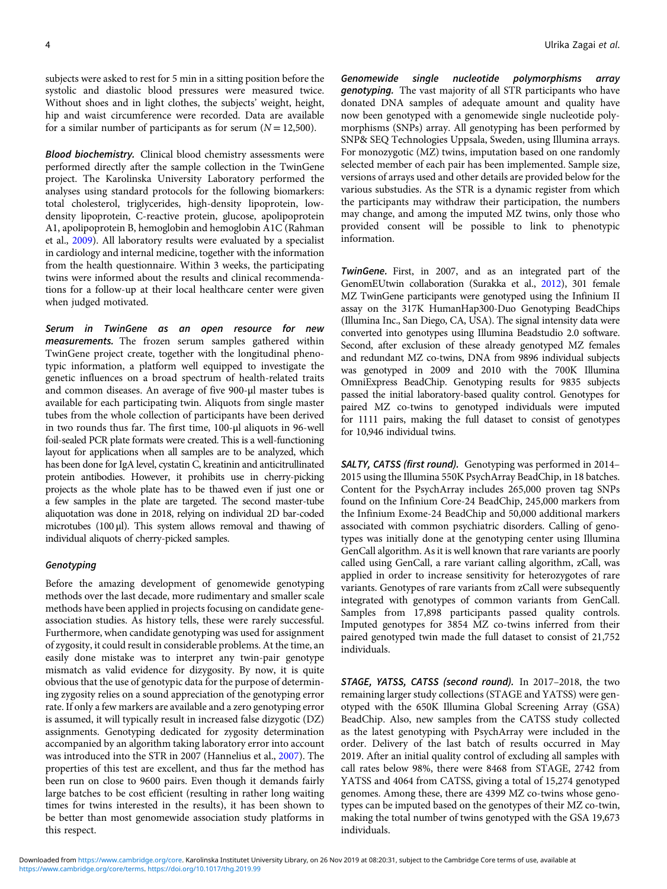subjects were asked to rest for 5 min in a sitting position before the systolic and diastolic blood pressures were measured twice. Without shoes and in light clothes, the subjects' weight, height, hip and waist circumference were recorded. Data are available for a similar number of participants as for serum  $(N = 12,500)$ .

Blood biochemistry. Clinical blood chemistry assessments were performed directly after the sample collection in the TwinGene project. The Karolinska University Laboratory performed the analyses using standard protocols for the following biomarkers: total cholesterol, triglycerides, high-density lipoprotein, lowdensity lipoprotein, C-reactive protein, glucose, apolipoprotein A1, apolipoprotein B, hemoglobin and hemoglobin A1C (Rahman et al., [2009\)](#page-8-0). All laboratory results were evaluated by a specialist in cardiology and internal medicine, together with the information from the health questionnaire. Within 3 weeks, the participating twins were informed about the results and clinical recommendations for a follow-up at their local healthcare center were given when judged motivated.

Serum in TwinGene as an open resource for new measurements. The frozen serum samples gathered within TwinGene project create, together with the longitudinal phenotypic information, a platform well equipped to investigate the genetic influences on a broad spectrum of health-related traits and common diseases. An average of five 900-μl master tubes is available for each participating twin. Aliquots from single master tubes from the whole collection of participants have been derived in two rounds thus far. The first time, 100-μl aliquots in 96-well foil-sealed PCR plate formats were created. This is a well-functioning layout for applications when all samples are to be analyzed, which has been done for IgA level, cystatin C, kreatinin and anticitrullinated protein antibodies. However, it prohibits use in cherry-picking projects as the whole plate has to be thawed even if just one or a few samples in the plate are targeted. The second master-tube aliquotation was done in 2018, relying on individual 2D bar-coded microtubes (100 μl). This system allows removal and thawing of individual aliquots of cherry-picked samples.

#### Genotyping

Before the amazing development of genomewide genotyping methods over the last decade, more rudimentary and smaller scale methods have been applied in projects focusing on candidate geneassociation studies. As history tells, these were rarely successful. Furthermore, when candidate genotyping was used for assignment of zygosity, it could result in considerable problems. At the time, an easily done mistake was to interpret any twin-pair genotype mismatch as valid evidence for dizygosity. By now, it is quite obvious that the use of genotypic data for the purpose of determining zygosity relies on a sound appreciation of the genotyping error rate. If only a few markers are available and a zero genotyping error is assumed, it will typically result in increased false dizygotic (DZ) assignments. Genotyping dedicated for zygosity determination accompanied by an algorithm taking laboratory error into account was introduced into the STR in 2007 (Hannelius et al., [2007\)](#page-7-0). The properties of this test are excellent, and thus far the method has been run on close to 9600 pairs. Even though it demands fairly large batches to be cost efficient (resulting in rather long waiting times for twins interested in the results), it has been shown to be better than most genomewide association study platforms in this respect.

Genomewide single nucleotide polymorphisms array genotyping. The vast majority of all STR participants who have donated DNA samples of adequate amount and quality have now been genotyped with a genomewide single nucleotide polymorphisms (SNPs) array. All genotyping has been performed by SNP& SEQ Technologies Uppsala, Sweden, using Illumina arrays. For monozygotic (MZ) twins, imputation based on one randomly selected member of each pair has been implemented. Sample size, versions of arrays used and other details are provided below for the various substudies. As the STR is a dynamic register from which the participants may withdraw their participation, the numbers may change, and among the imputed MZ twins, only those who provided consent will be possible to link to phenotypic information.

TwinGene. First, in 2007, and as an integrated part of the GenomEUtwin collaboration (Surakka et al., [2012\)](#page-8-0), 301 female MZ TwinGene participants were genotyped using the Infinium II assay on the 317K HumanHap300-Duo Genotyping BeadChips (Illumina Inc., San Diego, CA, USA). The signal intensity data were converted into genotypes using Illumina Beadstudio 2.0 software. Second, after exclusion of these already genotyped MZ females and redundant MZ co-twins, DNA from 9896 individual subjects was genotyped in 2009 and 2010 with the 700K Illumina OmniExpress BeadChip. Genotyping results for 9835 subjects passed the initial laboratory-based quality control. Genotypes for paired MZ co-twins to genotyped individuals were imputed for 1111 pairs, making the full dataset to consist of genotypes for 10,946 individual twins.

SALTY, CATSS (first round). Genotyping was performed in 2014– 2015 using the Illumina 550K PsychArray BeadChip, in 18 batches. Content for the PsychArray includes 265,000 proven tag SNPs found on the Infinium Core-24 BeadChip, 245,000 markers from the Infinium Exome-24 BeadChip and 50,000 additional markers associated with common psychiatric disorders. Calling of genotypes was initially done at the genotyping center using Illumina GenCall algorithm. As it is well known that rare variants are poorly called using GenCall, a rare variant calling algorithm, zCall, was applied in order to increase sensitivity for heterozygotes of rare variants. Genotypes of rare variants from zCall were subsequently integrated with genotypes of common variants from GenCall. Samples from 17,898 participants passed quality controls. Imputed genotypes for 3854 MZ co-twins inferred from their paired genotyped twin made the full dataset to consist of 21,752 individuals.

STAGE, YATSS, CATSS (second round). In 2017–2018, the two remaining larger study collections (STAGE and YATSS) were genotyped with the 650K Illumina Global Screening Array (GSA) BeadChip. Also, new samples from the CATSS study collected as the latest genotyping with PsychArray were included in the order. Delivery of the last batch of results occurred in May 2019. After an initial quality control of excluding all samples with call rates below 98%, there were 8468 from STAGE, 2742 from YATSS and 4064 from CATSS, giving a total of 15,274 genotyped genomes. Among these, there are 4399 MZ co-twins whose genotypes can be imputed based on the genotypes of their MZ co-twin, making the total number of twins genotyped with the GSA 19,673 individuals.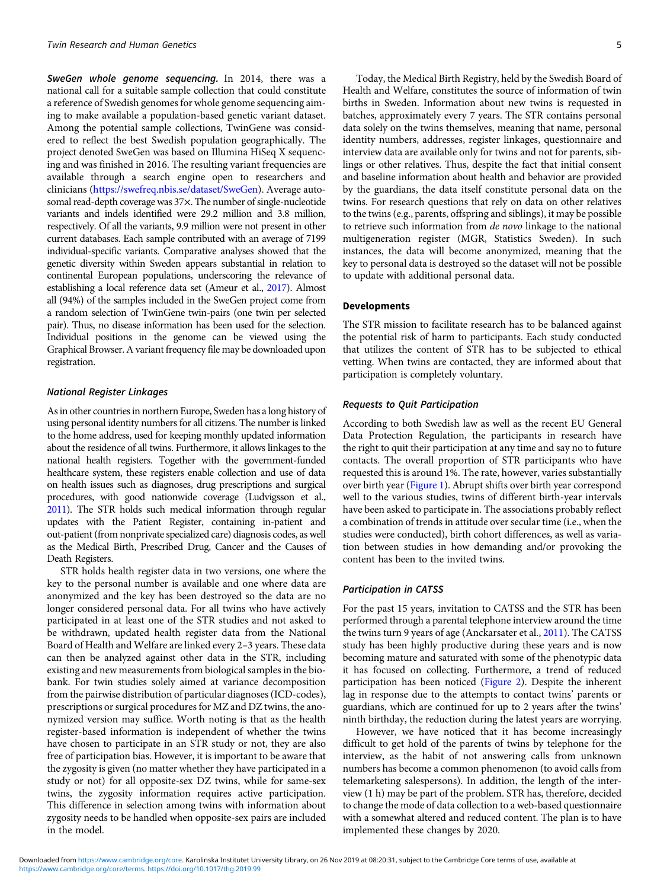SweGen whole genome sequencing. In 2014, there was a national call for a suitable sample collection that could constitute a reference of Swedish genomes for whole genome sequencing aiming to make available a population-based genetic variant dataset. Among the potential sample collections, TwinGene was considered to reflect the best Swedish population geographically. The project denoted SweGen was based on Illumina HiSeq X sequencing and was finished in 2016. The resulting variant frequencies are available through a search engine open to researchers and clinicians [\(https://swefreq.nbis.se/dataset/SweGen](https://swefreq.nbis.se/dataset/SweGen)). Average autosomal read-depth coverage was 37×. The number of single-nucleotide variants and indels identified were 29.2 million and 3.8 million, respectively. Of all the variants, 9.9 million were not present in other current databases. Each sample contributed with an average of 7199 individual-specific variants. Comparative analyses showed that the genetic diversity within Sweden appears substantial in relation to continental European populations, underscoring the relevance of establishing a local reference data set (Ameur et al., [2017\)](#page-7-0). Almost all (94%) of the samples included in the SweGen project come from a random selection of TwinGene twin-pairs (one twin per selected pair). Thus, no disease information has been used for the selection. Individual positions in the genome can be viewed using the Graphical Browser. A variant frequency file may be downloaded upon registration.

## National Register Linkages

As in other countries in northern Europe, Sweden has a long history of using personal identity numbers for all citizens. The number is linked to the home address, used for keeping monthly updated information about the residence of all twins. Furthermore, it allows linkages to the national health registers. Together with the government-funded healthcare system, these registers enable collection and use of data on health issues such as diagnoses, drug prescriptions and surgical procedures, with good nationwide coverage (Ludvigsson et al., [2011](#page-8-0)). The STR holds such medical information through regular updates with the Patient Register, containing in-patient and out-patient (from nonprivate specialized care) diagnosis codes, as well as the Medical Birth, Prescribed Drug, Cancer and the Causes of Death Registers.

STR holds health register data in two versions, one where the key to the personal number is available and one where data are anonymized and the key has been destroyed so the data are no longer considered personal data. For all twins who have actively participated in at least one of the STR studies and not asked to be withdrawn, updated health register data from the National Board of Health and Welfare are linked every 2–3 years. These data can then be analyzed against other data in the STR, including existing and new measurements from biological samples in the biobank. For twin studies solely aimed at variance decomposition from the pairwise distribution of particular diagnoses (ICD-codes), prescriptions or surgical procedures for MZ and DZ twins, the anonymized version may suffice. Worth noting is that as the health register-based information is independent of whether the twins have chosen to participate in an STR study or not, they are also free of participation bias. However, it is important to be aware that the zygosity is given (no matter whether they have participated in a study or not) for all opposite-sex DZ twins, while for same-sex twins, the zygosity information requires active participation. This difference in selection among twins with information about zygosity needs to be handled when opposite-sex pairs are included in the model.

Today, the Medical Birth Registry, held by the Swedish Board of Health and Welfare, constitutes the source of information of twin births in Sweden. Information about new twins is requested in batches, approximately every 7 years. The STR contains personal data solely on the twins themselves, meaning that name, personal identity numbers, addresses, register linkages, questionnaire and interview data are available only for twins and not for parents, siblings or other relatives. Thus, despite the fact that initial consent and baseline information about health and behavior are provided by the guardians, the data itself constitute personal data on the twins. For research questions that rely on data on other relatives to the twins (e.g., parents, offspring and siblings), it may be possible to retrieve such information from de novo linkage to the national multigeneration register (MGR, Statistics Sweden). In such instances, the data will become anonymized, meaning that the key to personal data is destroyed so the dataset will not be possible to update with additional personal data.

#### Developments

The STR mission to facilitate research has to be balanced against the potential risk of harm to participants. Each study conducted that utilizes the content of STR has to be subjected to ethical vetting. When twins are contacted, they are informed about that participation is completely voluntary.

#### Requests to Quit Participation

According to both Swedish law as well as the recent EU General Data Protection Regulation, the participants in research have the right to quit their participation at any time and say no to future contacts. The overall proportion of STR participants who have requested this is around 1%. The rate, however, varies substantially over birth year [\(Figure 1\)](#page-5-0). Abrupt shifts over birth year correspond well to the various studies, twins of different birth-year intervals have been asked to participate in. The associations probably reflect a combination of trends in attitude over secular time (i.e., when the studies were conducted), birth cohort differences, as well as variation between studies in how demanding and/or provoking the content has been to the invited twins.

## Participation in CATSS

For the past 15 years, invitation to CATSS and the STR has been performed through a parental telephone interview around the time the twins turn 9 years of age (Anckarsater et al., [2011](#page-7-0)). The CATSS study has been highly productive during these years and is now becoming mature and saturated with some of the phenotypic data it has focused on collecting. Furthermore, a trend of reduced participation has been noticed [\(Figure 2](#page-5-0)). Despite the inherent lag in response due to the attempts to contact twins' parents or guardians, which are continued for up to 2 years after the twins' ninth birthday, the reduction during the latest years are worrying.

However, we have noticed that it has become increasingly difficult to get hold of the parents of twins by telephone for the interview, as the habit of not answering calls from unknown numbers has become a common phenomenon (to avoid calls from telemarketing salespersons). In addition, the length of the interview (1 h) may be part of the problem. STR has, therefore, decided to change the mode of data collection to a web-based questionnaire with a somewhat altered and reduced content. The plan is to have implemented these changes by 2020.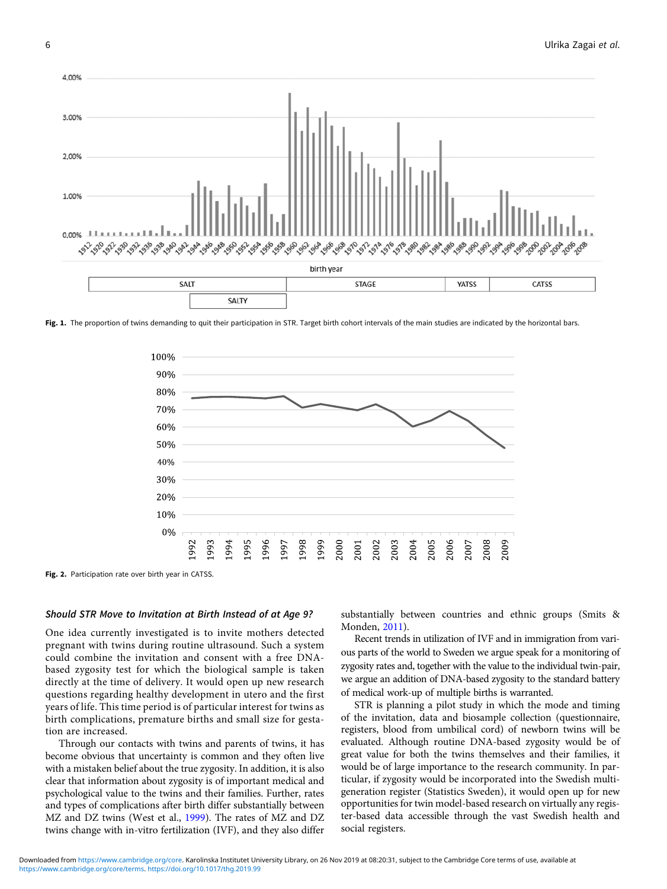<span id="page-5-0"></span>

Fig. 1. The proportion of twins demanding to quit their participation in STR. Target birth cohort intervals of the main studies are indicated by the horizontal bars.



Fig. 2. Participation rate over birth year in CATSS.

### Should STR Move to Invitation at Birth Instead of at Age 9?

One idea currently investigated is to invite mothers detected pregnant with twins during routine ultrasound. Such a system could combine the invitation and consent with a free DNAbased zygosity test for which the biological sample is taken directly at the time of delivery. It would open up new research questions regarding healthy development in utero and the first years of life. This time period is of particular interest for twins as birth complications, premature births and small size for gestation are increased.

Through our contacts with twins and parents of twins, it has become obvious that uncertainty is common and they often live with a mistaken belief about the true zygosity. In addition, it is also clear that information about zygosity is of important medical and psychological value to the twins and their families. Further, rates and types of complications after birth differ substantially between MZ and DZ twins (West et al., [1999](#page-8-0)). The rates of MZ and DZ twins change with in-vitro fertilization (IVF), and they also differ substantially between countries and ethnic groups (Smits & Monden, [2011](#page-8-0)).

Recent trends in utilization of IVF and in immigration from various parts of the world to Sweden we argue speak for a monitoring of zygosity rates and, together with the value to the individual twin-pair, we argue an addition of DNA-based zygosity to the standard battery of medical work-up of multiple births is warranted.

STR is planning a pilot study in which the mode and timing of the invitation, data and biosample collection (questionnaire, registers, blood from umbilical cord) of newborn twins will be evaluated. Although routine DNA-based zygosity would be of great value for both the twins themselves and their families, it would be of large importance to the research community. In particular, if zygosity would be incorporated into the Swedish multigeneration register (Statistics Sweden), it would open up for new opportunities for twin model-based research on virtually any register-based data accessible through the vast Swedish health and social registers.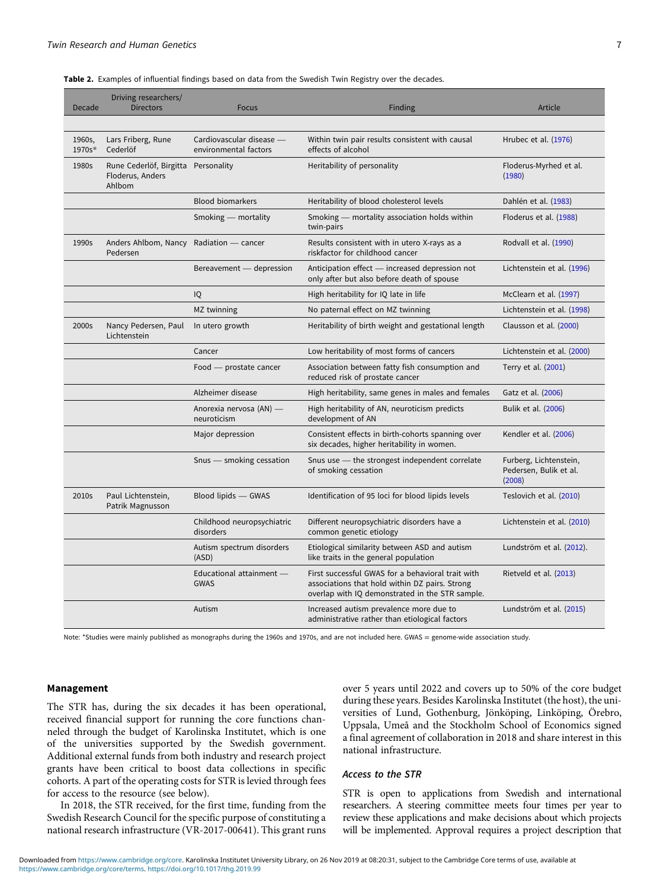#### <span id="page-6-0"></span>Table 2. Examples of influential findings based on data from the Swedish Twin Registry over the decades.

| Decade           | Driving researchers/<br><b>Directors</b><br><b>Focus</b>          |                                                   | Finding                                                                                                                                                | Article                                                    |
|------------------|-------------------------------------------------------------------|---------------------------------------------------|--------------------------------------------------------------------------------------------------------------------------------------------------------|------------------------------------------------------------|
|                  |                                                                   |                                                   |                                                                                                                                                        |                                                            |
| 1960s,<br>1970s* | Lars Friberg, Rune<br>Cederlöf                                    | Cardiovascular disease -<br>environmental factors | Within twin pair results consistent with causal<br>effects of alcohol                                                                                  | Hrubec et al. (1976)                                       |
| 1980s            | Rune Cederlöf, Birgitta Personality<br>Floderus, Anders<br>Ahlbom |                                                   | Heritability of personality                                                                                                                            | Floderus-Myrhed et al.<br>(1980)                           |
|                  |                                                                   | <b>Blood biomarkers</b>                           | Heritability of blood cholesterol levels                                                                                                               | Dahlén et al. (1983)                                       |
|                  |                                                                   | Smoking - mortality                               | Smoking — mortality association holds within<br>twin-pairs                                                                                             | Floderus et al. (1988)                                     |
| 1990s            | Anders Ahlbom, Nancy Radiation - cancer<br>Pedersen               |                                                   | Results consistent with in utero X-rays as a<br>riskfactor for childhood cancer                                                                        | Rodvall et al. (1990)                                      |
|                  |                                                                   | Bereavement - depression                          | Anticipation effect - increased depression not<br>only after but also before death of spouse                                                           | Lichtenstein et al. (1996)                                 |
|                  |                                                                   | IQ                                                | High heritability for IQ late in life                                                                                                                  | McClearn et al. (1997)                                     |
|                  |                                                                   | MZ twinning                                       | No paternal effect on MZ twinning                                                                                                                      | Lichtenstein et al. (1998)                                 |
| 2000s            | Nancy Pedersen, Paul<br>Lichtenstein                              | In utero growth                                   | Heritability of birth weight and gestational length                                                                                                    | Clausson et al. (2000)                                     |
|                  |                                                                   | Cancer                                            | Low heritability of most forms of cancers                                                                                                              | Lichtenstein et al. (2000)                                 |
|                  |                                                                   | Food - prostate cancer                            | Association between fatty fish consumption and<br>reduced risk of prostate cancer                                                                      | Terry et al. (2001)                                        |
|                  |                                                                   | Alzheimer disease                                 | High heritability, same genes in males and females                                                                                                     | Gatz et al. (2006)                                         |
|                  |                                                                   | Anorexia nervosa (AN) -<br>neuroticism            | High heritability of AN, neuroticism predicts<br>development of AN                                                                                     | Bulik et al. (2006)                                        |
|                  |                                                                   | Major depression                                  | Consistent effects in birth-cohorts spanning over<br>six decades, higher heritability in women.                                                        | Kendler et al. (2006)                                      |
|                  |                                                                   | Snus - smoking cessation                          | Snus use - the strongest independent correlate<br>of smoking cessation                                                                                 | Furberg, Lichtenstein,<br>Pedersen, Bulik et al.<br>(2008) |
| 2010s            | Paul Lichtenstein,<br>Patrik Magnusson                            | Blood lipids - GWAS                               | Identification of 95 loci for blood lipids levels                                                                                                      | Teslovich et al. (2010)                                    |
|                  |                                                                   | Childhood neuropsychiatric<br>disorders           | Different neuropsychiatric disorders have a<br>common genetic etiology                                                                                 | Lichtenstein et al. (2010)                                 |
|                  |                                                                   | Autism spectrum disorders<br>(ASD)                | Etiological similarity between ASD and autism<br>like traits in the general population                                                                 | Lundström et al. (2012).                                   |
|                  |                                                                   | Educational attainment -<br><b>GWAS</b>           | First successful GWAS for a behavioral trait with<br>associations that hold within DZ pairs. Strong<br>overlap with IQ demonstrated in the STR sample. | Rietveld et al. (2013)                                     |
|                  |                                                                   | Autism                                            | Increased autism prevalence more due to<br>administrative rather than etiological factors                                                              | Lundström et al. (2015)                                    |

Note: \*Studies were mainly published as monographs during the 1960s and 1970s, and are not included here. GWAS = genome-wide association study.

#### Management

The STR has, during the six decades it has been operational, received financial support for running the core functions channeled through the budget of Karolinska Institutet, which is one of the universities supported by the Swedish government. Additional external funds from both industry and research project grants have been critical to boost data collections in specific cohorts. A part of the operating costs for STR is levied through fees for access to the resource (see below).

In 2018, the STR received, for the first time, funding from the Swedish Research Council for the specific purpose of constituting a national research infrastructure (VR-2017-00641). This grant runs over 5 years until 2022 and covers up to 50% of the core budget during these years. Besides Karolinska Institutet (the host), the universities of Lund, Gothenburg, Jönköping, Linköping, Örebro, Uppsala, Umeå and the Stockholm School of Economics signed a final agreement of collaboration in 2018 and share interest in this national infrastructure.

## Access to the STR

STR is open to applications from Swedish and international researchers. A steering committee meets four times per year to review these applications and make decisions about which projects will be implemented. Approval requires a project description that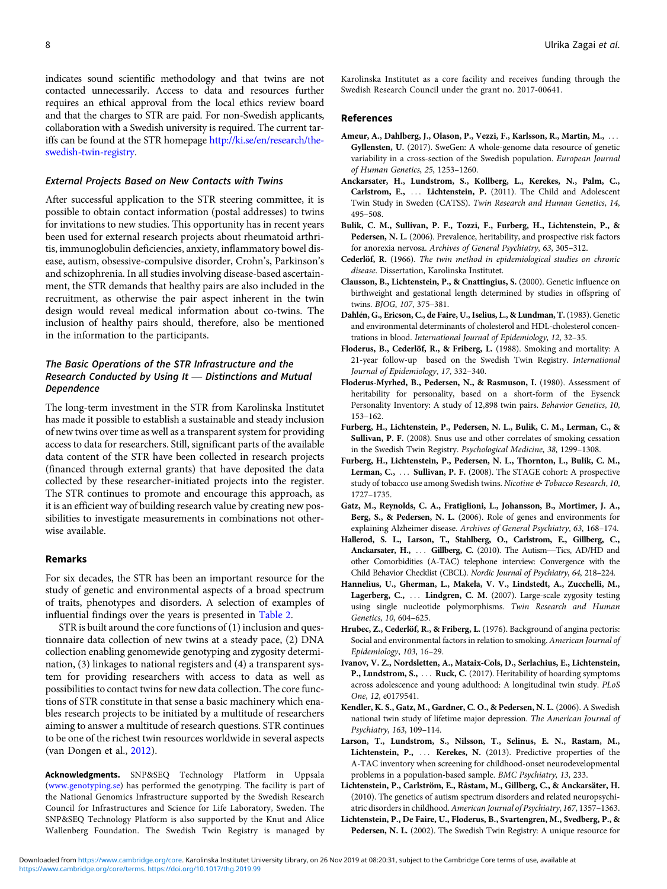<span id="page-7-0"></span>indicates sound scientific methodology and that twins are not contacted unnecessarily. Access to data and resources further requires an ethical approval from the local ethics review board and that the charges to STR are paid. For non-Swedish applicants, collaboration with a Swedish university is required. The current tariffs can be found at the STR homepage [http://ki.se/en/research/the](https://ki.se/en/research/the-swedish-twin-registry)[swedish-twin-registry](https://ki.se/en/research/the-swedish-twin-registry).

## External Projects Based on New Contacts with Twins

After successful application to the STR steering committee, it is possible to obtain contact information (postal addresses) to twins for invitations to new studies. This opportunity has in recent years been used for external research projects about rheumatoid arthritis, immunoglobulin deficiencies, anxiety, inflammatory bowel disease, autism, obsessive-compulsive disorder, Crohn's, Parkinson's and schizophrenia. In all studies involving disease-based ascertainment, the STR demands that healthy pairs are also included in the recruitment, as otherwise the pair aspect inherent in the twin design would reveal medical information about co-twins. The inclusion of healthy pairs should, therefore, also be mentioned in the information to the participants.

# The Basic Operations of the STR Infrastructure and the Research Conducted by Using It — Distinctions and Mutual Dependence

The long-term investment in the STR from Karolinska Institutet has made it possible to establish a sustainable and steady inclusion of new twins over time as well as a transparent system for providing access to data for researchers. Still, significant parts of the available data content of the STR have been collected in research projects (financed through external grants) that have deposited the data collected by these researcher-initiated projects into the register. The STR continues to promote and encourage this approach, as it is an efficient way of building research value by creating new possibilities to investigate measurements in combinations not otherwise available.

#### Remarks

For six decades, the STR has been an important resource for the study of genetic and environmental aspects of a broad spectrum of traits, phenotypes and disorders. A selection of examples of influential findings over the years is presented in [Table 2.](#page-6-0)

STR is built around the core functions of (1) inclusion and questionnaire data collection of new twins at a steady pace, (2) DNA collection enabling genomewide genotyping and zygosity determination, (3) linkages to national registers and (4) a transparent system for providing researchers with access to data as well as possibilities to contact twins for new data collection. The core functions of STR constitute in that sense a basic machinery which enables research projects to be initiated by a multitude of researchers aiming to answer a multitude of research questions. STR continues to be one of the richest twin resources worldwide in several aspects (van Dongen et al., [2012\)](#page-8-0).

Acknowledgments. SNP&SEQ Technology Platform in Uppsala [\(www.genotyping.se](https://www.genotyping.se)) has performed the genotyping. The facility is part of the National Genomics Infrastructure supported by the Swedish Research Council for Infrastructures and Science for Life Laboratory, Sweden. The SNP&SEQ Technology Platform is also supported by the Knut and Alice Wallenberg Foundation. The Swedish Twin Registry is managed by

Karolinska Institutet as a core facility and receives funding through the Swedish Research Council under the grant no. 2017-00641.

#### References

- Ameur, A., Dahlberg, J., Olason, P., Vezzi, F., Karlsson, R., Martin, M., ... Gyllensten, U. (2017). SweGen: A whole-genome data resource of genetic variability in a cross-section of the Swedish population. European Journal of Human Genetics, 25, 1253–1260.
- Anckarsater, H., Lundstrom, S., Kollberg, L., Kerekes, N., Palm, C., Carlstrom, E., ... Lichtenstein, P. (2011). The Child and Adolescent Twin Study in Sweden (CATSS). Twin Research and Human Genetics, 14, 495–508.
- Bulik, C. M., Sullivan, P. F., Tozzi, F., Furberg, H., Lichtenstein, P., & Pedersen, N. L. (2006). Prevalence, heritability, and prospective risk factors for anorexia nervosa. Archives of General Psychiatry, 63, 305–312.
- Cederlöf, R. (1966). The twin method in epidemiological studies on chronic disease. Dissertation, Karolinska Institutet.
- Clausson, B., Lichtenstein, P., & Cnattingius, S. (2000). Genetic influence on birthweight and gestational length determined by studies in offspring of twins. BJOG, 107, 375–381.
- Dahlén, G., Ericson, C., de Faire, U., Iselius, L., & Lundman, T.(1983). Genetic and environmental determinants of cholesterol and HDL-cholesterol concentrations in blood. International Journal of Epidemiology, 12, 32–35.
- Floderus, B., Cederlöf, R., & Friberg, L. (1988). Smoking and mortality: A 21-year follow-up based on the Swedish Twin Registry. International Journal of Epidemiology, 17, 332–340.
- Floderus-Myrhed, B., Pedersen, N., & Rasmuson, I. (1980). Assessment of heritability for personality, based on a short-form of the Eysenck Personality Inventory: A study of 12,898 twin pairs. Behavior Genetics, 10, 153–162.
- Furberg, H., Lichtenstein, P., Pedersen, N. L., Bulik, C. M., Lerman, C., & Sullivan, P. F. (2008). Snus use and other correlates of smoking cessation in the Swedish Twin Registry. Psychological Medicine, 38, 1299–1308.
- Furberg, H., Lichtenstein, P., Pedersen, N. L., Thornton, L., Bulik, C. M., Lerman, C., ... Sullivan, P. F. (2008). The STAGE cohort: A prospective study of tobacco use among Swedish twins. Nicotine & Tobacco Research, 10, 1727–1735.
- Gatz, M., Reynolds, C. A., Fratiglioni, L., Johansson, B., Mortimer, J. A., Berg, S., & Pedersen, N. L. (2006). Role of genes and environments for explaining Alzheimer disease. Archives of General Psychiatry, 63, 168–174.
- Hallerod, S. L., Larson, T., Stahlberg, O., Carlstrom, E., Gillberg, C., Berg, S., & Pedersen, N. L. (2006). Role of genes and environments for explaining Alzheimer disease. Archives of General Psychiatry, 63, 168–174.<br>Illerod, S. L., Larson, T., Stahlberg, O., Carlstrom, E., Gillberg, C., Anck other Comorbidities (A-TAC) telephone interview: Convergence with the Child Behavior Checklist (CBCL). Nordic Journal of Psychiatry, 64, 218–224.
- Hannelius, U., Gherman, L., Makela, V. V., Lindstedt, A., Zucchelli, M., Lagerberg, C., ... Lindgren, C. M. (2007). Large-scale zygosity testing using single nucleotide polymorphisms. Twin Research and Human Genetics, 10, 604–625.
- Hrubec, Z., Cederlöf, R., & Friberg, L. (1976). Background of angina pectoris: Social and environmental factors in relation to smoking. American Journal of Epidemiology, 103, 16–29.
- Ivanov, V. Z., Nordsletten, A., Mataix-Cols, D., Serlachius, E., Lichtenstein, P., Lundstrom, S., ... Ruck, C. (2017). Heritability of hoarding symptoms across adolescence and young adulthood: A longitudinal twin study. PLoS One, 12, e0179541.
- Kendler, K. S., Gatz, M., Gardner, C. O., & Pedersen, N. L. (2006). A Swedish national twin study of lifetime major depression. The American Journal of Psychiatry, 163, 109–114.
- Larson, T., Lundstrom, S., Nilsson, T., Selinus, E. N., Rastam, M., Lichtenstein, P., ... Kerekes, N. (2013). Predictive properties of the A-TAC inventory when screening for childhood-onset neurodevelopmental problems in a population-based sample. BMC Psychiatry, 13, 233.
- Lichtenstein, P., Carlström, E., Råstam, M., Gillberg, C., & Anckarsäter, H. (2010). The genetics of autism spectrum disorders and related neuropsychiatric disorders in childhood.American Journal of Psychiatry, 167, 1357–1363.
- Lichtenstein, P., De Faire, U., Floderus, B., Svartengren, M., Svedberg, P., & Pedersen, N. L. (2002). The Swedish Twin Registry: A unique resource for